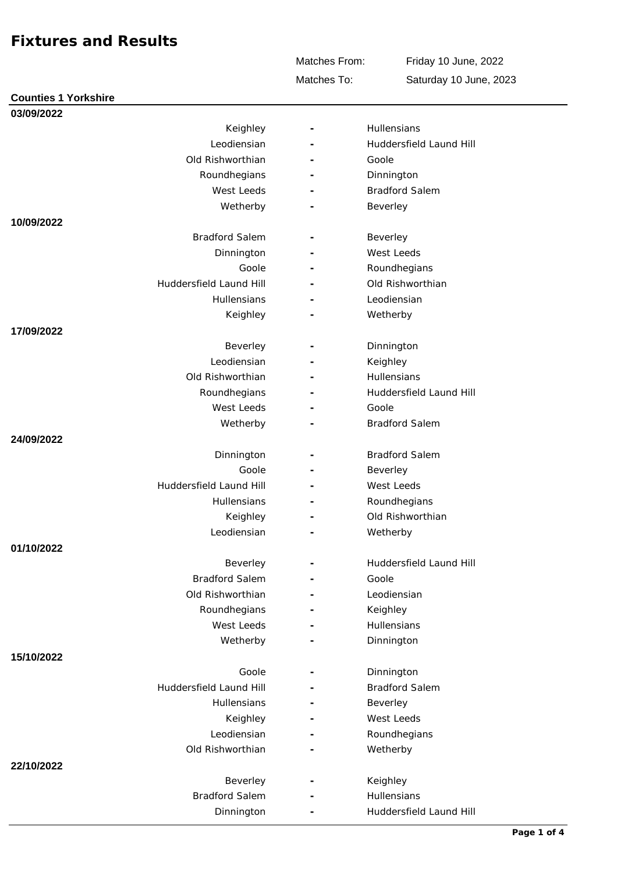Matches To: Matches From: Friday 10 June, 2022 Saturday 10 June, 2023

| 03/09/2022              |                          |                         |
|-------------------------|--------------------------|-------------------------|
| Keighley                |                          | Hullensians             |
| Leodiensian             |                          | Huddersfield Laund Hill |
| Old Rishworthian        |                          | Goole                   |
| Roundhegians            |                          | Dinnington              |
| West Leeds              |                          | <b>Bradford Salem</b>   |
| Wetherby                |                          | Beverley                |
| 10/09/2022              |                          |                         |
| <b>Bradford Salem</b>   |                          | Beverley                |
| Dinnington              |                          | West Leeds              |
| Goole                   |                          | Roundhegians            |
| Huddersfield Laund Hill |                          | Old Rishworthian        |
| Hullensians             |                          | Leodiensian             |
| Keighley                |                          | Wetherby                |
| 17/09/2022              |                          |                         |
| Beverley                |                          | Dinnington              |
| Leodiensian             |                          | Keighley                |
| Old Rishworthian        |                          | Hullensians             |
| Roundhegians            |                          | Huddersfield Laund Hill |
| West Leeds              |                          | Goole                   |
| Wetherby                |                          | <b>Bradford Salem</b>   |
| 24/09/2022              |                          |                         |
| Dinnington              |                          | <b>Bradford Salem</b>   |
| Goole                   |                          | Beverley                |
| Huddersfield Laund Hill |                          | West Leeds              |
| Hullensians             | $\overline{\phantom{a}}$ | Roundhegians            |
| Keighley                |                          | Old Rishworthian        |
| Leodiensian             |                          | Wetherby                |
| 01/10/2022              |                          |                         |
| Beverley                |                          | Huddersfield Laund Hill |
| <b>Bradford Salem</b>   |                          | Goole                   |
| Old Rishworthian        |                          | Leodiensian             |
| Roundhegians            |                          | Keighley                |
| West Leeds              |                          | Hullensians             |
| Wetherby                |                          | Dinnington              |
| 15/10/2022              |                          |                         |
| Goole                   |                          | Dinnington              |
| Huddersfield Laund Hill |                          | <b>Bradford Salem</b>   |
|                         |                          |                         |
| Hullensians             |                          | Beverley<br>West Leeds  |
| Keighley                |                          |                         |
| Leodiensian             |                          | Roundhegians            |
| Old Rishworthian        |                          | Wetherby                |
| 22/10/2022              |                          |                         |
| Beverley                |                          | Keighley                |
| <b>Bradford Salem</b>   |                          | Hullensians             |
| Dinnington              |                          | Huddersfield Laund Hill |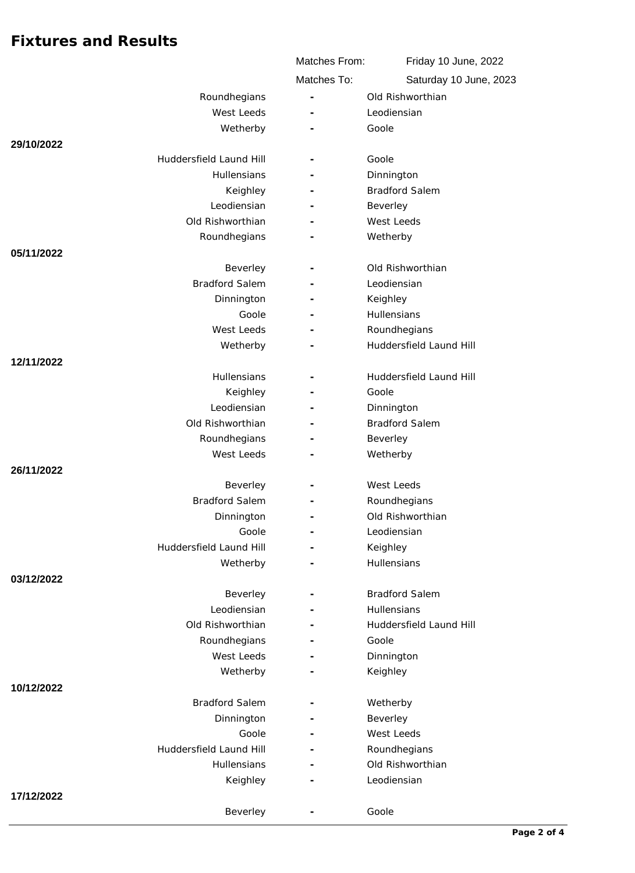|                            | Matches From: | Friday 10 June, 2022    |  |
|----------------------------|---------------|-------------------------|--|
|                            | Matches To:   | Saturday 10 June, 2023  |  |
| Roundhegians               | ÷,            | Old Rishworthian        |  |
| West Leeds                 |               | Leodiensian             |  |
| Wetherby                   |               | Goole                   |  |
| 29/10/2022                 |               |                         |  |
| Huddersfield Laund Hill    |               | Goole                   |  |
| Hullensians                |               | Dinnington              |  |
| Keighley                   |               | <b>Bradford Salem</b>   |  |
| Leodiensian                |               | Beverley                |  |
| Old Rishworthian           |               | West Leeds              |  |
| Roundhegians               |               | Wetherby                |  |
| 05/11/2022                 |               |                         |  |
| Beverley                   |               | Old Rishworthian        |  |
| <b>Bradford Salem</b>      |               | Leodiensian             |  |
| Dinnington                 |               | Keighley                |  |
| Goole                      |               | Hullensians             |  |
| West Leeds                 |               | Roundhegians            |  |
| Wetherby                   |               | Huddersfield Laund Hill |  |
| 12/11/2022                 |               |                         |  |
| Hullensians                |               | Huddersfield Laund Hill |  |
| Keighley                   |               | Goole                   |  |
| Leodiensian                |               | Dinnington              |  |
| Old Rishworthian           |               | <b>Bradford Salem</b>   |  |
| Roundhegians<br>West Leeds |               | Beverley                |  |
| 26/11/2022                 |               | Wetherby                |  |
| Beverley                   |               | West Leeds              |  |
| <b>Bradford Salem</b>      |               | Roundhegians            |  |
| Dinnington                 |               | Old Rishworthian        |  |
| Goole                      |               | Leodiensian             |  |
| Huddersfield Laund Hill    |               | Keighley                |  |
| Wetherby                   |               | Hullensians             |  |
| 03/12/2022                 |               |                         |  |
| Beverley                   |               | <b>Bradford Salem</b>   |  |
| Leodiensian                |               | Hullensians             |  |
| Old Rishworthian           |               | Huddersfield Laund Hill |  |
| Roundhegians               |               | Goole                   |  |
| West Leeds                 |               | Dinnington              |  |
| Wetherby                   |               | Keighley                |  |
| 10/12/2022                 |               |                         |  |
| <b>Bradford Salem</b>      |               | Wetherby                |  |
| Dinnington                 |               | Beverley                |  |
| Goole                      |               | West Leeds              |  |
| Huddersfield Laund Hill    |               | Roundhegians            |  |
| <b>Hullensians</b>         |               | Old Rishworthian        |  |
| Keighley                   |               | Leodiensian             |  |
| 17/12/2022                 |               |                         |  |
| Beverley                   |               | Goole                   |  |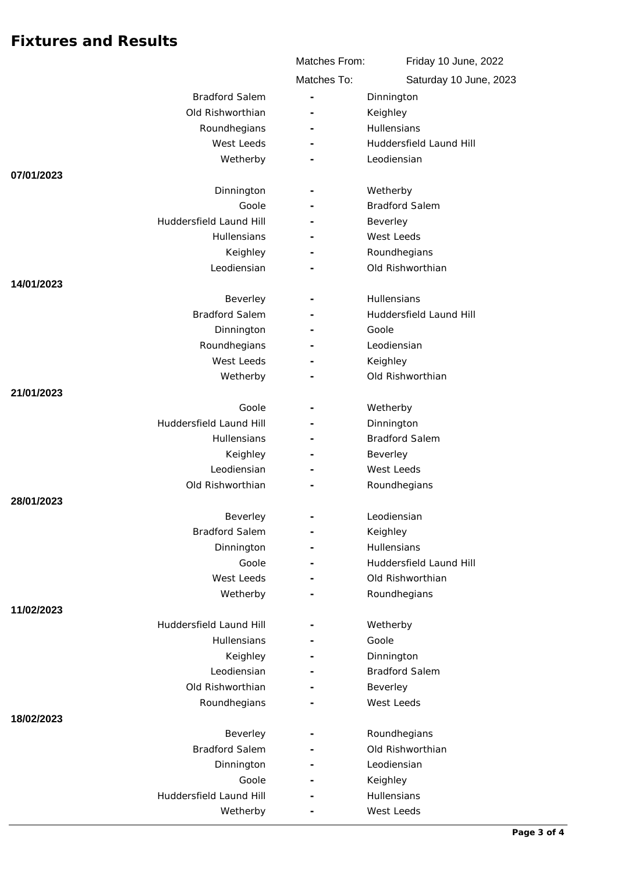|                         | Matches From:            | Friday 10 June, 2022    |
|-------------------------|--------------------------|-------------------------|
|                         | Matches To:              | Saturday 10 June, 2023  |
| <b>Bradford Salem</b>   | $\overline{\phantom{a}}$ | Dinnington              |
| Old Rishworthian        |                          | Keighley                |
| Roundhegians            |                          | Hullensians             |
| West Leeds              |                          | Huddersfield Laund Hill |
| Wetherby                |                          | Leodiensian             |
| 07/01/2023              |                          |                         |
| Dinnington              |                          | Wetherby                |
| Goole                   |                          | <b>Bradford Salem</b>   |
| Huddersfield Laund Hill |                          | Beverley                |
| <b>Hullensians</b>      |                          | West Leeds              |
| Keighley                |                          | Roundhegians            |
| Leodiensian             |                          | Old Rishworthian        |
| 14/01/2023              |                          |                         |
| Beverley                |                          | Hullensians             |
| <b>Bradford Salem</b>   |                          | Huddersfield Laund Hill |
| Dinnington              |                          | Goole                   |
| Roundhegians            |                          | Leodiensian             |
| West Leeds              |                          | Keighley                |
| Wetherby                |                          | Old Rishworthian        |
| 21/01/2023              |                          |                         |
| Goole                   |                          | Wetherby                |
| Huddersfield Laund Hill |                          | Dinnington              |
| Hullensians             |                          | <b>Bradford Salem</b>   |
| Keighley                |                          | Beverley                |
| Leodiensian             |                          | West Leeds              |
| Old Rishworthian        |                          | Roundhegians            |
| 28/01/2023              |                          |                         |
| Beverley                |                          | Leodiensian             |
| <b>Bradford Salem</b>   |                          | Keighley                |
| Dinnington              |                          | Hullensians             |
| Goole                   |                          | Huddersfield Laund Hill |
| West Leeds              |                          | Old Rishworthian        |
| Wetherby                |                          | Roundhegians            |
| 11/02/2023              |                          |                         |
| Huddersfield Laund Hill |                          | Wetherby                |
| Hullensians             |                          | Goole                   |
| Keighley                |                          | Dinnington              |
| Leodiensian             | ٠                        | <b>Bradford Salem</b>   |
| Old Rishworthian        |                          | Beverley                |
| Roundhegians            |                          | West Leeds              |
| 18/02/2023              |                          |                         |
| Beverley                |                          | Roundhegians            |
| <b>Bradford Salem</b>   |                          | Old Rishworthian        |
| Dinnington              |                          | Leodiensian             |
| Goole                   |                          | Keighley                |
| Huddersfield Laund Hill |                          | Hullensians             |
| Wetherby                |                          | West Leeds              |